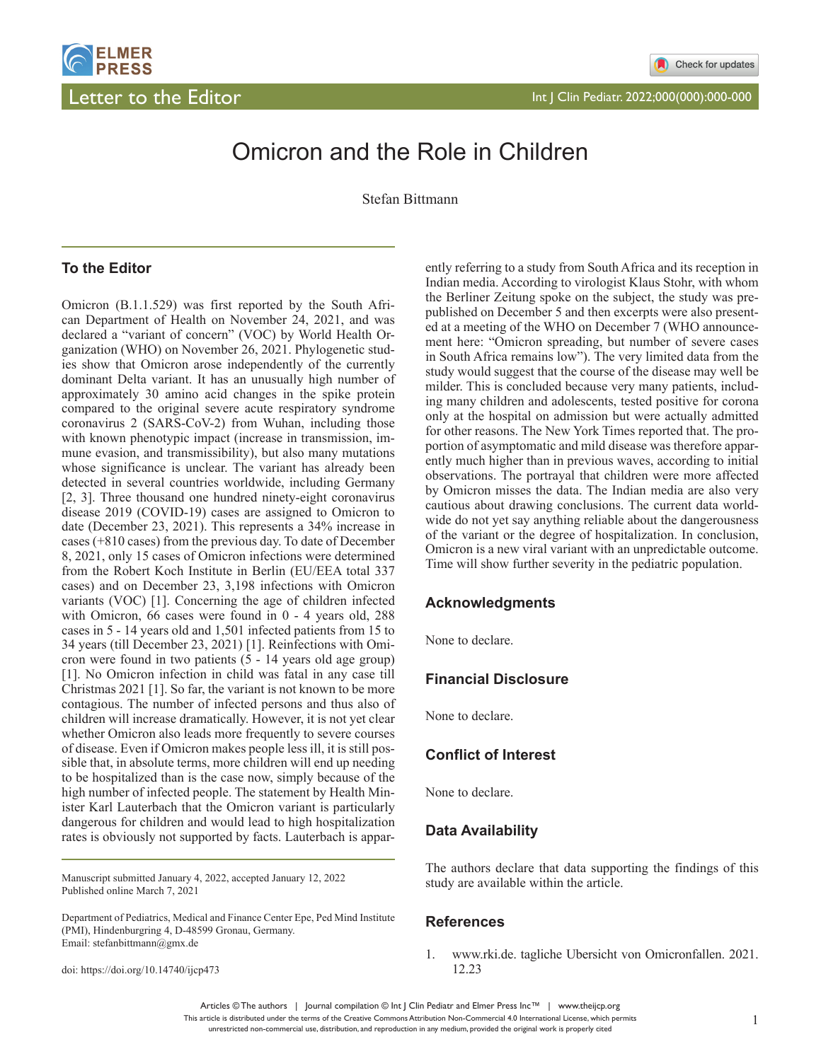

# Omicron and the Role in Children

Stefan Bittmann

# **To the Editor**

Omicron (B.1.1.529) was first reported by the South African Department of Health on November 24, 2021, and was declared a "variant of concern" (VOC) by World Health Organization (WHO) on November 26, 2021. Phylogenetic studies show that Omicron arose independently of the currently dominant Delta variant. It has an unusually high number of approximately 30 amino acid changes in the spike protein compared to the original severe acute respiratory syndrome coronavirus 2 (SARS-CoV-2) from Wuhan, including those with known phenotypic impact (increase in transmission, immune evasion, and transmissibility), but also many mutations whose significance is unclear. The variant has already been detected in several countries worldwide, including Germany [2, 3]. Three thousand one hundred ninety-eight coronavirus disease 2019 (COVID-19) cases are assigned to Omicron to date (December 23, 2021). This represents a 34% increase in cases (+810 cases) from the previous day. To date of December 8, 2021, only 15 cases of Omicron infections were determined from the Robert Koch Institute in Berlin (EU/EEA total 337 cases) and on December 23, 3,198 infections with Omicron variants (VOC) [1]. Concerning the age of children infected with Omicron, 66 cases were found in 0 - 4 years old, 288 cases in 5 - 14 years old and 1,501 infected patients from 15 to 34 years (till December 23, 2021) [1]. Reinfections with Omicron were found in two patients (5 - 14 years old age group) [1]. No Omicron infection in child was fatal in any case till Christmas 2021 [1]. So far, the variant is not known to be more contagious. The number of infected persons and thus also of children will increase dramatically. However, it is not yet clear whether Omicron also leads more frequently to severe courses of disease. Even if Omicron makes people less ill, it is still possible that, in absolute terms, more children will end up needing to be hospitalized than is the case now, simply because of the high number of infected people. The statement by Health Minister Karl Lauterbach that the Omicron variant is particularly dangerous for children and would lead to high hospitalization rates is obviously not supported by facts. Lauterbach is appar-

Manuscript submitted January 4, 2022, accepted January 12, 2022 Published online March 7, 2021

doi: https://doi.org/10.14740/ijcp473

ently referring to a study from South Africa and its reception in Indian media. According to virologist Klaus Stohr, with whom the Berliner Zeitung spoke on the subject, the study was prepublished on December 5 and then excerpts were also presented at a meeting of the WHO on December 7 (WHO announcement here: "Omicron spreading, but number of severe cases in South Africa remains low"). The very limited data from the study would suggest that the course of the disease may well be milder. This is concluded because very many patients, including many children and adolescents, tested positive for corona only at the hospital on admission but were actually admitted for other reasons. The New York Times reported that. The proportion of asymptomatic and mild disease was therefore apparently much higher than in previous waves, according to initial observations. The portrayal that children were more affected by Omicron misses the data. The Indian media are also very cautious about drawing conclusions. The current data worldwide do not yet say anything reliable about the dangerousness of the variant or the degree of hospitalization. In conclusion, Omicron is a new viral variant with an unpredictable outcome. Time will show further severity in the pediatric population.

## **Acknowledgments**

None to declare.

## **Financial Disclosure**

None to declare.

## **Conflict of Interest**

None to declare.

#### **Data Availability**

The authors declare that data supporting the findings of this study are available within the article.

#### **References**

1. www.rki.de. tagliche Ubersicht von Omicronfallen. 2021. 12.23

Articles © The authors | Journal compilation © Int J Clin Pediatr and Elmer Press Inc™ | www.theijcp.org This article is distributed under the terms of the Creative Commons Attribution Non-Commercial 4.0 International License, which permits unrestricted non-commercial use, distribution, and reproduction in any medium, provided the original work is properly cited

Department of Pediatrics, Medical and Finance Center Epe, Ped Mind Institute (PMI), Hindenburgring 4, D-48599 Gronau, Germany. Email: stefanbittmann@gmx.de